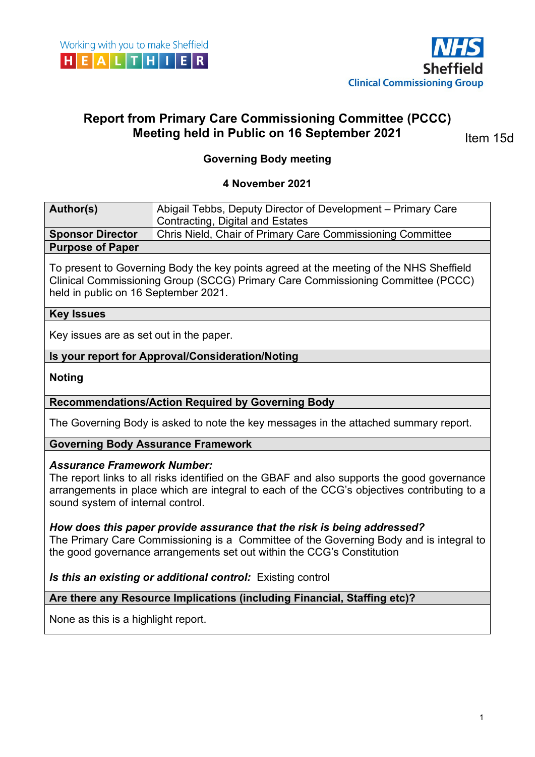



# **Report from Primary Care Commissioning Committee (PCCC) Meeting held in Public on 16 September 2021**

Item 15d

# **Governing Body meeting**

#### **4 November 2021**

| Author(s)               | Abigail Tebbs, Deputy Director of Development – Primary Care |
|-------------------------|--------------------------------------------------------------|
|                         | <sup>1</sup> Contracting, Digital and Estates                |
| <b>Sponsor Director</b> | Chris Nield, Chair of Primary Care Commissioning Committee   |
| <b>Purpose of Paper</b> |                                                              |

To present to Governing Body the key points agreed at the meeting of the NHS Sheffield Clinical Commissioning Group (SCCG) Primary Care Commissioning Committee (PCCC) held in public on 16 September 2021.

#### **Key Issues**

Key issues are as set out in the paper.

#### **Is your report for Approval/Consideration/Noting**

**Noting** 

#### **Recommendations/Action Required by Governing Body**

The Governing Body is asked to note the key messages in the attached summary report.

#### **Governing Body Assurance Framework**

#### *Assurance Framework Number:*

The report links to all risks identified on the GBAF and also supports the good governance arrangements in place which are integral to each of the CCG's objectives contributing to a sound system of internal control.

#### *How does this paper provide assurance that the risk is being addressed?*

The Primary Care Commissioning is a Committee of the Governing Body and is integral to the good governance arrangements set out within the CCG's Constitution

*Is this an existing or additional control:* Existing control

#### **Are there any Resource Implications (including Financial, Staffing etc)?**

None as this is a highlight report.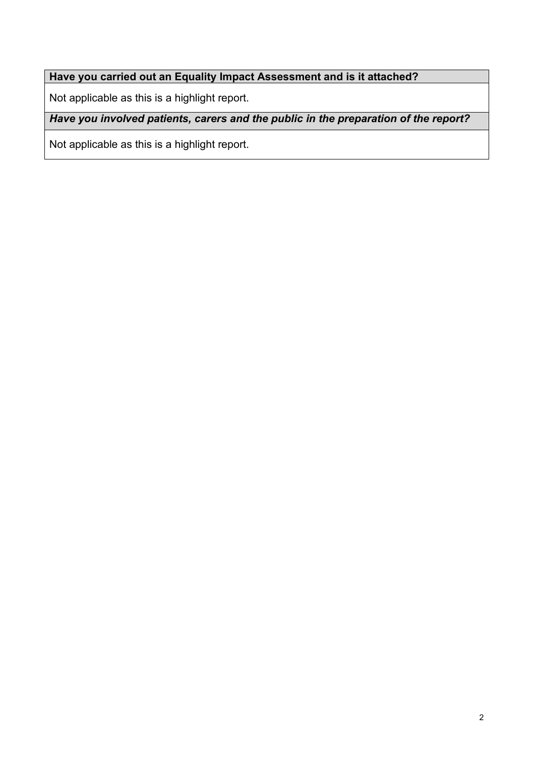# **Have you carried out an Equality Impact Assessment and is it attached?**

Not applicable as this is a highlight report.

*Have you involved patients, carers and the public in the preparation of the report?* 

Not applicable as this is a highlight report.